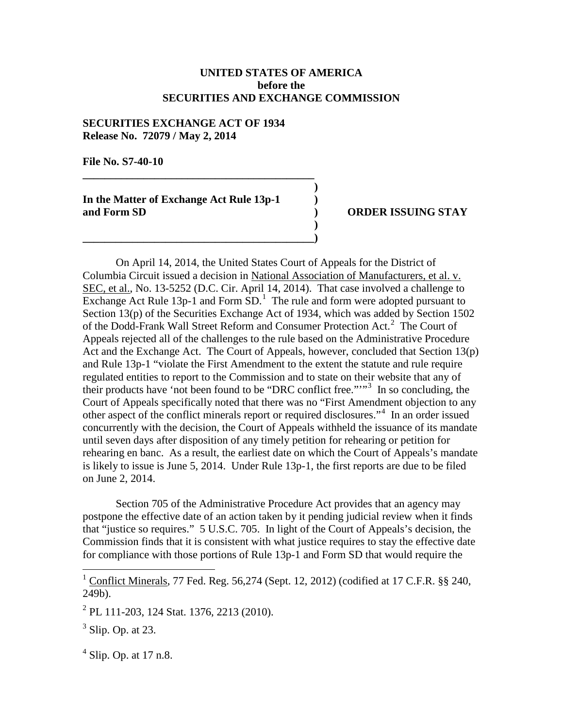## **UNITED STATES OF AMERICA before the SECURITIES AND EXCHANGE COMMISSION**

**)**

**)**

## **SECURITIES EXCHANGE ACT OF 1934 Release No. 72079 / May 2, 2014**

**File No. S7-40-10**

**In the Matter of Exchange Act Rule 13p-1 ) and Form SD ) ORDER ISSUING STAY**

**\_\_\_\_\_\_\_\_\_\_\_\_\_\_\_\_\_\_\_\_\_\_\_\_\_\_\_\_\_\_\_\_\_\_\_\_\_\_\_\_\_\_**

**\_\_\_\_\_\_\_\_\_\_\_\_\_\_\_\_\_\_\_\_\_\_\_\_\_\_\_\_\_\_\_\_\_\_\_\_\_\_\_\_\_\_)**

On April 14, 2014, the United States Court of Appeals for the District of Columbia Circuit issued a decision in National Association of Manufacturers, et al. v. SEC, et al., No. 13-5252 (D.C. Cir. April 14, 2014). That case involved a challenge to Exchange Act Rule [1](#page-0-0)3p-1 and Form  $SD<sup>1</sup>$  The rule and form were adopted pursuant to Section 13(p) of the Securities Exchange Act of 1934, which was added by Section 1502 of the Dodd-Frank Wall Street Reform and Consumer Protection Act. [2](#page-0-1) The Court of Appeals rejected all of the challenges to the rule based on the Administrative Procedure Act and the Exchange Act. The Court of Appeals, however, concluded that Section 13(p) and Rule 13p-1 "violate the First Amendment to the extent the statute and rule require regulated entities to report to the Commission and to state on their website that any of their products have 'not been found to be "DRC conflict free.""<sup>[3](#page-0-2)</sup> In so concluding, the Court of Appeals specifically noted that there was no "First Amendment objection to any other aspect of the conflict minerals report or required disclosures."[4](#page-0-3) In an order issued concurrently with the decision, the Court of Appeals withheld the issuance of its mandate until seven days after disposition of any timely petition for rehearing or petition for rehearing en banc. As a result, the earliest date on which the Court of Appeals's mandate is likely to issue is June 5, 2014. Under Rule 13p-1, the first reports are due to be filed on June 2, 2014.

Section 705 of the Administrative Procedure Act provides that an agency may postpone the effective date of an action taken by it pending judicial review when it finds that "justice so requires." 5 U.S.C. 705. In light of the Court of Appeals's decision, the Commission finds that it is consistent with what justice requires to stay the effective date for compliance with those portions of Rule 13p-1 and Form SD that would require the

<span id="page-0-3"></span> $<sup>4</sup>$  Slip. Op. at 17 n.8.</sup>

<span id="page-0-0"></span> $1 \text{ Conflict Minerals}, 77 \text{ Fed. Reg. } 56,274 \text{ (Sept. } 12, 2012) \text{ (codified at 17 C.F.R. }$  §§ 240, 249b).

<span id="page-0-1"></span> $^{2}$  PL 111-203, 124 Stat. 1376, 2213 (2010).

<span id="page-0-2"></span> $3$  Slip. Op. at 23.